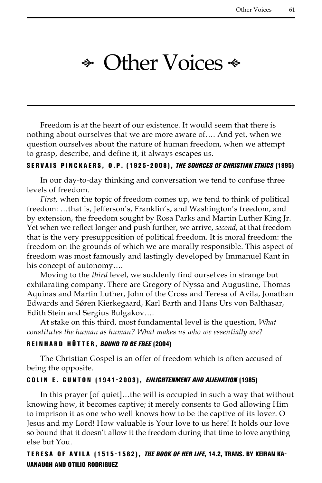# $\ast$  Other Voices  $\ast$

Freedom is at the heart of our existence. It would seem that there is nothing about ourselves that we are more aware of…. And yet, when we question ourselves about the nature of human freedom, when we attempt to grasp, describe, and define it, it always escapes us.

#### SERVAIS PINCKAERS, O.P. (1925-2008), *The Sources of Christian Ethics* (1995)

In our day-to-day thinking and conversation we tend to confuse three levels of freedom.

*First,* when the topic of freedom comes up, we tend to think of political freedom: …that is, Jefferson's, Franklin's, and Washington's freedom, and by extension, the freedom sought by Rosa Parks and Martin Luther King Jr. Yet when we reflect longer and push further, we arrive, *second*, at that freedom that is the very presupposition of political freedom. It is moral freedom: the freedom on the grounds of which we are morally responsible. This aspect of freedom was most famously and lastingly developed by Immanuel Kant in his concept of autonomy….

Moving to the *third* level, we suddenly find ourselves in strange but exhilarating company. There are Gregory of Nyssa and Augustine, Thomas Aquinas and Martin Luther, John of the Cross and Teresa of Avila, Jonathan Edwards and Sǿren Kierkegaard, Karl Barth and Hans Urs von Balthasar, Edith Stein and Sergius Bulgakov….

At stake on this third, most fundamental level is the question, *What constitutes the human as human? What makes us who we essentially are*?

#### R einhard H ütter, *Bound to Be Free* (2004)

The Christian Gospel is an offer of freedom which is often accused of being the opposite.

#### Co lin E . Gunt o n (1941-2003), *Enlightenment and Alienation* (1985)

In this prayer [of quiet]…the will is occupied in such a way that without knowing how, it becomes captive; it merely consents to God allowing Him to imprison it as one who well knows how to be the captive of its lover. O Jesus and my Lord! How valuable is Your love to us here! It holds our love so bound that it doesn't allow it the freedom during that time to love anything else but You.

## TERESA OF AVILA (1515-1582), *The Book of Her Life*, 14.2, TRANS. BY KEIRAN KAvanaugh and Otilio Rodriguez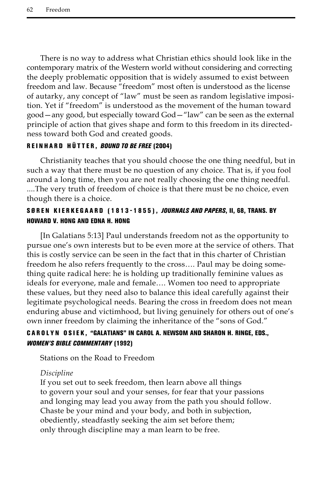There is no way to address what Christian ethics should look like in the contemporary matrix of the Western world without considering and correcting the deeply problematic opposition that is widely assumed to exist between freedom and law. Because "freedom" most often is understood as the license of autarky, any concept of "law" must be seen as random legislative imposition. Yet if "freedom" is understood as the movement of the human toward good—any good, but especially toward God—"law" can be seen as the external principle of action that gives shape and form to this freedom in its directedness toward both God and created goods.

## R einhard H ütter, *Bound to Be Free* (2004)

Christianity teaches that you should choose the one thing needful, but in such a way that there must be no question of any choice. That is, if you fool around a long time, then you are not really choosing the one thing needful. ....The very truth of freedom of choice is that there must be no choice, even though there is a choice.

## Søren K ierke g aard (1813-1855), *Journals and Papers*, II, 68, trans. by Howard V. Hong and Edna H. Hong

[In Galatians 5:13] Paul understands freedom not as the opportunity to pursue one's own interests but to be even more at the service of others. That this is costly service can be seen in the fact that in this charter of Christian freedom he also refers frequently to the cross…. Paul may be doing something quite radical here: he is holding up traditionally feminine values as ideals for everyone, male and female…. Women too need to appropriate these values, but they need also to balance this ideal carefully against their legitimate psychological needs. Bearing the cross in freedom does not mean enduring abuse and victimhood, but living genuinely for others out of one's own inner freedom by claiming the inheritance of the "sons of God."

# CAROLYN OSIEK, "GALATIANS" IN CAROL A. NEWSOM AND SHARON H. RINGE, EDS., *Women's Bible Commentary* (1992)

Stations on the Road to Freedom

#### *Discipline*

If you set out to seek freedom, then learn above all things to govern your soul and your senses, for fear that your passions and longing may lead you away from the path you should follow. Chaste be your mind and your body, and both in subjection, obediently, steadfastly seeking the aim set before them; only through discipline may a man learn to be free.